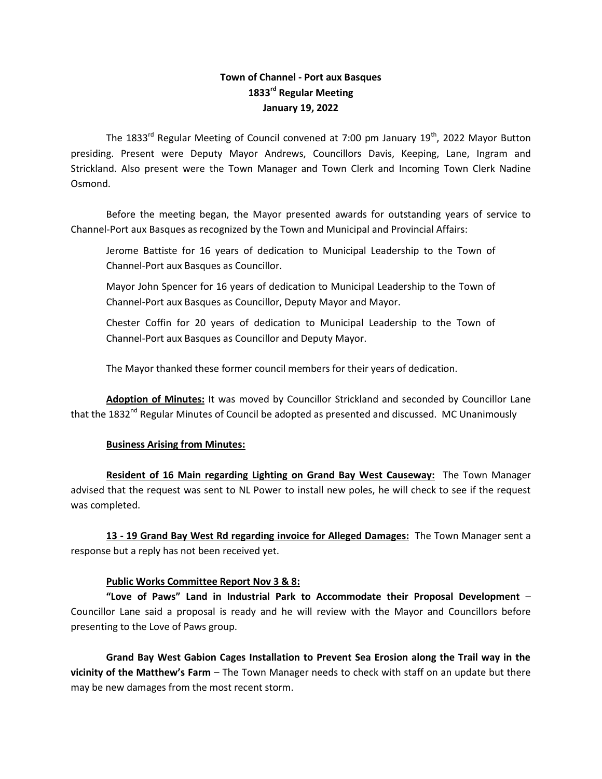# **Town of Channel - Port aux Basques 1833 rd Regular Meeting January 19, 2022**

The 1833<sup>rd</sup> Regular Meeting of Council convened at 7:00 pm January 19<sup>th</sup>, 2022 Mayor Button presiding. Present were Deputy Mayor Andrews, Councillors Davis, Keeping, Lane, Ingram and Strickland. Also present were the Town Manager and Town Clerk and Incoming Town Clerk Nadine Osmond.

Before the meeting began, the Mayor presented awards for outstanding years of service to Channel-Port aux Basques as recognized by the Town and Municipal and Provincial Affairs:

Jerome Battiste for 16 years of dedication to Municipal Leadership to the Town of Channel-Port aux Basques as Councillor.

Mayor John Spencer for 16 years of dedication to Municipal Leadership to the Town of Channel-Port aux Basques as Councillor, Deputy Mayor and Mayor.

Chester Coffin for 20 years of dedication to Municipal Leadership to the Town of Channel-Port aux Basques as Councillor and Deputy Mayor.

The Mayor thanked these former council members for their years of dedication.

**Adoption of Minutes:** It was moved by Councillor Strickland and seconded by Councillor Lane that the 1832<sup>nd</sup> Regular Minutes of Council be adopted as presented and discussed. MC Unanimously

#### **Business Arising from Minutes:**

**Resident of 16 Main regarding Lighting on Grand Bay West Causeway:** The Town Manager advised that the request was sent to NL Power to install new poles, he will check to see if the request was completed.

**13 - 19 Grand Bay West Rd regarding invoice for Alleged Damages:** The Town Manager sent a response but a reply has not been received yet.

#### **Public Works Committee Report Nov 3 & 8:**

**"Love of Paws" Land in Industrial Park to Accommodate their Proposal Development** – Councillor Lane said a proposal is ready and he will review with the Mayor and Councillors before presenting to the Love of Paws group.

**Grand Bay West Gabion Cages Installation to Prevent Sea Erosion along the Trail way in the vicinity of the Matthew's Farm** – The Town Manager needs to check with staff on an update but there may be new damages from the most recent storm.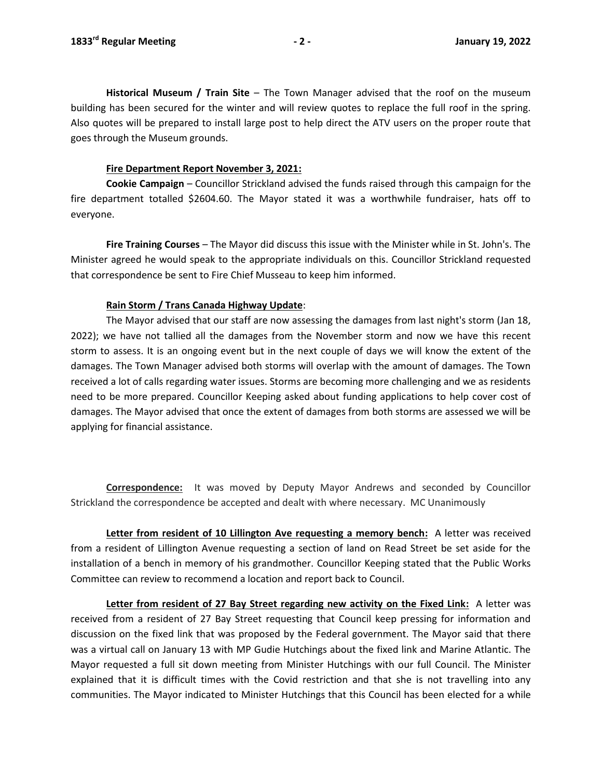**Historical Museum / Train Site** – The Town Manager advised that the roof on the museum building has been secured for the winter and will review quotes to replace the full roof in the spring. Also quotes will be prepared to install large post to help direct the ATV users on the proper route that goes through the Museum grounds.

#### **Fire Department Report November 3, 2021:**

**Cookie Campaign** – Councillor Strickland advised the funds raised through this campaign for the fire department totalled \$2604.60. The Mayor stated it was a worthwhile fundraiser, hats off to everyone.

**Fire Training Courses** – The Mayor did discuss this issue with the Minister while in St. John's. The Minister agreed he would speak to the appropriate individuals on this. Councillor Strickland requested that correspondence be sent to Fire Chief Musseau to keep him informed.

# **Rain Storm / Trans Canada Highway Update**:

The Mayor advised that our staff are now assessing the damages from last night's storm (Jan 18, 2022); we have not tallied all the damages from the November storm and now we have this recent storm to assess. It is an ongoing event but in the next couple of days we will know the extent of the damages. The Town Manager advised both storms will overlap with the amount of damages. The Town received a lot of calls regarding water issues. Storms are becoming more challenging and we as residents need to be more prepared. Councillor Keeping asked about funding applications to help cover cost of damages. The Mayor advised that once the extent of damages from both storms are assessed we will be applying for financial assistance.

**Correspondence:** It was moved by Deputy Mayor Andrews and seconded by Councillor Strickland the correspondence be accepted and dealt with where necessary. MC Unanimously

**Letter from resident of 10 Lillington Ave requesting a memory bench:** A letter was received from a resident of Lillington Avenue requesting a section of land on Read Street be set aside for the installation of a bench in memory of his grandmother. Councillor Keeping stated that the Public Works Committee can review to recommend a location and report back to Council.

**Letter from resident of 27 Bay Street regarding new activity on the Fixed Link:** A letter was received from a resident of 27 Bay Street requesting that Council keep pressing for information and discussion on the fixed link that was proposed by the Federal government. The Mayor said that there was a virtual call on January 13 with MP Gudie Hutchings about the fixed link and Marine Atlantic. The Mayor requested a full sit down meeting from Minister Hutchings with our full Council. The Minister explained that it is difficult times with the Covid restriction and that she is not travelling into any communities. The Mayor indicated to Minister Hutchings that this Council has been elected for a while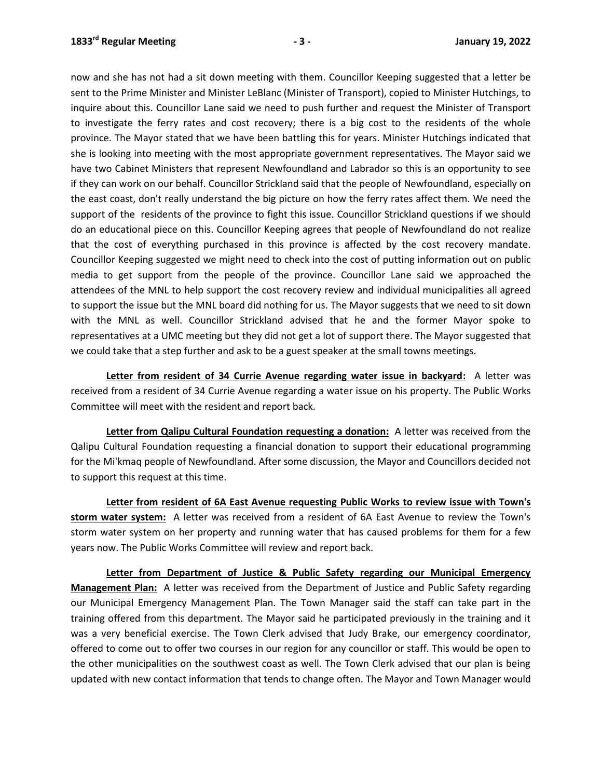now and she has not had a sit down meeting with them. Councillor Keeping suggested that a letter be sent to the Prime Minister and Minister LeBlanc (Minister of Transport), copied to Minister Hutchings, to inquire about this. Councillor Lane said we need to push further and request the Minister of Transport to investigate the ferry rates and cost recovery; there is a big cost to the residents of the whole province. The Mayor stated that we have been battling this for years. Minister Hutchings indicated that she is looking into meeting with the most appropriate government representatives. The Mayor said we have two Cabinet Ministers that represent Newfoundland and Labrador so this is an opportunity to see if they can work on our behalf. Councillor Strickland said that the people of Newfoundland, especially on the east coast, don't really understand the big picture on how the ferry rates affect them. We need the support of the residents of the province to fight this issue. Councillor Strickland questions if we should do an educational piece on this. Councillor Keeping agrees that people of Newfoundland do not realize that the cost of everything purchased in this province is affected by the cost recovery mandate. Councillor Keeping suggested we might need to check into the cost of putting information out on public media to get support from the people of the province. Councillor Lane said we approached the attendees of the MNL to help support the cost recovery review and individual municipalities all agreed to support the issue but the MNL board did nothing for us. The Mayor suggests that we need to sit down with the MNL as well. Councillor Strickland advised that he and the former Mayor spoke to representatives at a UMC meeting but they did not get a lot of support there. The Mayor suggested that we could take that a step further and ask to be a guest speaker at the small towns meetings.

**Letter from resident of 34 Currie Avenue regarding water issue in backyard:** A letter was received from a resident of 34 Currie Avenue regarding a water issue on his property. The Public Works Committee will meet with the resident and report back.

**Letter from Qalipu Cultural Foundation requesting a donation:** A letter was received from the Qalipu Cultural Foundation requesting a financial donation to support their educational programming for the Mi'kmaq people of Newfoundland. After some discussion, the Mayor and Councillors decided not to support this request at this time.

**Letter from resident of 6A East Avenue requesting Public Works to review issue with Town's storm water system:** A letter was received from a resident of 6A East Avenue to review the Town's storm water system on her property and running water that has caused problems for them for a few years now. The Public Works Committee will review and report back.

**Letter from Department of Justice & Public Safety regarding our Municipal Emergency Management Plan:** A letter was received from the Department of Justice and Public Safety regarding our Municipal Emergency Management Plan. The Town Manager said the staff can take part in the training offered from this department. The Mayor said he participated previously in the training and it was a very beneficial exercise. The Town Clerk advised that Judy Brake, our emergency coordinator, offered to come out to offer two courses in our region for any councillor or staff. This would be open to the other municipalities on the southwest coast as well. The Town Clerk advised that our plan is being updated with new contact information that tends to change often. The Mayor and Town Manager would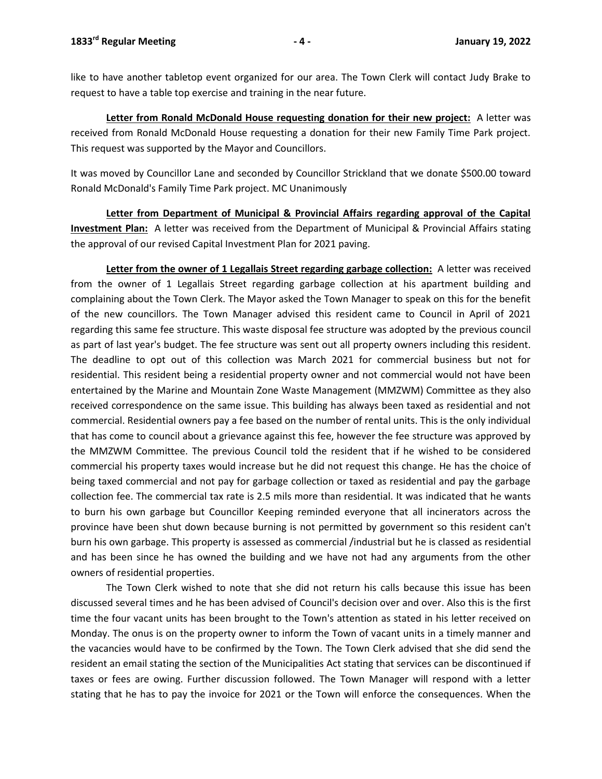like to have another tabletop event organized for our area. The Town Clerk will contact Judy Brake to request to have a table top exercise and training in the near future.

**Letter from Ronald McDonald House requesting donation for their new project:** A letter was received from Ronald McDonald House requesting a donation for their new Family Time Park project. This request was supported by the Mayor and Councillors.

It was moved by Councillor Lane and seconded by Councillor Strickland that we donate \$500.00 toward Ronald McDonald's Family Time Park project. MC Unanimously

**Letter from Department of Municipal & Provincial Affairs regarding approval of the Capital Investment Plan:** A letter was received from the Department of Municipal & Provincial Affairs stating the approval of our revised Capital Investment Plan for 2021 paving.

**Letter from the owner of 1 Legallais Street regarding garbage collection:** A letter was received from the owner of 1 Legallais Street regarding garbage collection at his apartment building and complaining about the Town Clerk. The Mayor asked the Town Manager to speak on this for the benefit of the new councillors. The Town Manager advised this resident came to Council in April of 2021 regarding this same fee structure. This waste disposal fee structure was adopted by the previous council as part of last year's budget. The fee structure was sent out all property owners including this resident. The deadline to opt out of this collection was March 2021 for commercial business but not for residential. This resident being a residential property owner and not commercial would not have been entertained by the Marine and Mountain Zone Waste Management (MMZWM) Committee as they also received correspondence on the same issue. This building has always been taxed as residential and not commercial. Residential owners pay a fee based on the number of rental units. This is the only individual that has come to council about a grievance against this fee, however the fee structure was approved by the MMZWM Committee. The previous Council told the resident that if he wished to be considered commercial his property taxes would increase but he did not request this change. He has the choice of being taxed commercial and not pay for garbage collection or taxed as residential and pay the garbage collection fee. The commercial tax rate is 2.5 mils more than residential. It was indicated that he wants to burn his own garbage but Councillor Keeping reminded everyone that all incinerators across the province have been shut down because burning is not permitted by government so this resident can't burn his own garbage. This property is assessed as commercial /industrial but he is classed as residential and has been since he has owned the building and we have not had any arguments from the other owners of residential properties.

The Town Clerk wished to note that she did not return his calls because this issue has been discussed several times and he has been advised of Council's decision over and over. Also this is the first time the four vacant units has been brought to the Town's attention as stated in his letter received on Monday. The onus is on the property owner to inform the Town of vacant units in a timely manner and the vacancies would have to be confirmed by the Town. The Town Clerk advised that she did send the resident an email stating the section of the Municipalities Act stating that services can be discontinued if taxes or fees are owing. Further discussion followed. The Town Manager will respond with a letter stating that he has to pay the invoice for 2021 or the Town will enforce the consequences. When the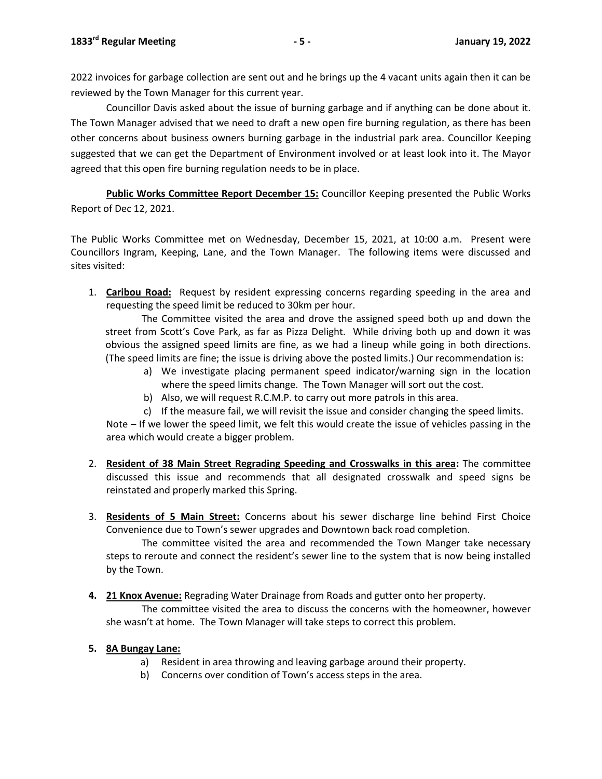2022 invoices for garbage collection are sent out and he brings up the 4 vacant units again then it can be reviewed by the Town Manager for this current year.

Councillor Davis asked about the issue of burning garbage and if anything can be done about it. The Town Manager advised that we need to draft a new open fire burning regulation, as there has been other concerns about business owners burning garbage in the industrial park area. Councillor Keeping suggested that we can get the Department of Environment involved or at least look into it. The Mayor agreed that this open fire burning regulation needs to be in place.

**Public Works Committee Report December 15:** Councillor Keeping presented the Public Works Report of Dec 12, 2021.

The Public Works Committee met on Wednesday, December 15, 2021, at 10:00 a.m. Present were Councillors Ingram, Keeping, Lane, and the Town Manager. The following items were discussed and sites visited:

1. **Caribou Road:** Request by resident expressing concerns regarding speeding in the area and requesting the speed limit be reduced to 30km per hour.

The Committee visited the area and drove the assigned speed both up and down the street from Scott's Cove Park, as far as Pizza Delight. While driving both up and down it was obvious the assigned speed limits are fine, as we had a lineup while going in both directions. (The speed limits are fine; the issue is driving above the posted limits.) Our recommendation is:

- a) We investigate placing permanent speed indicator/warning sign in the location where the speed limits change. The Town Manager will sort out the cost.
- b) Also, we will request R.C.M.P. to carry out more patrols in this area.
- c) If the measure fail, we will revisit the issue and consider changing the speed limits.

Note – If we lower the speed limit, we felt this would create the issue of vehicles passing in the area which would create a bigger problem.

- 2. **Resident of 38 Main Street Regrading Speeding and Crosswalks in this area:** The committee discussed this issue and recommends that all designated crosswalk and speed signs be reinstated and properly marked this Spring.
- 3. **Residents of 5 Main Street:** Concerns about his sewer discharge line behind First Choice Convenience due to Town's sewer upgrades and Downtown back road completion.

The committee visited the area and recommended the Town Manger take necessary steps to reroute and connect the resident's sewer line to the system that is now being installed by the Town.

**4. 21 Knox Avenue:** Regrading Water Drainage from Roads and gutter onto her property.

The committee visited the area to discuss the concerns with the homeowner, however she wasn't at home. The Town Manager will take steps to correct this problem.

# **5. 8A Bungay Lane:**

- a) Resident in area throwing and leaving garbage around their property.
- b) Concerns over condition of Town's access steps in the area.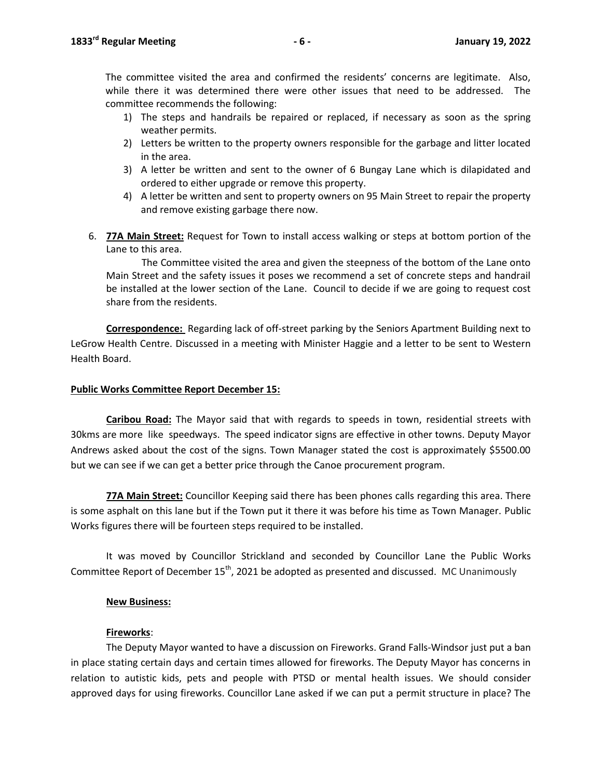The committee visited the area and confirmed the residents' concerns are legitimate. Also, while there it was determined there were other issues that need to be addressed. The committee recommends the following:

- 1) The steps and handrails be repaired or replaced, if necessary as soon as the spring weather permits.
- 2) Letters be written to the property owners responsible for the garbage and litter located in the area.
- 3) A letter be written and sent to the owner of 6 Bungay Lane which is dilapidated and ordered to either upgrade or remove this property.
- 4) A letter be written and sent to property owners on 95 Main Street to repair the property and remove existing garbage there now.
- 6. **77A Main Street:** Request for Town to install access walking or steps at bottom portion of the Lane to this area.

The Committee visited the area and given the steepness of the bottom of the Lane onto Main Street and the safety issues it poses we recommend a set of concrete steps and handrail be installed at the lower section of the Lane. Council to decide if we are going to request cost share from the residents.

**Correspondence:** Regarding lack of off-street parking by the Seniors Apartment Building next to LeGrow Health Centre. Discussed in a meeting with Minister Haggie and a letter to be sent to Western Health Board.

#### **Public Works Committee Report December 15:**

**Caribou Road:** The Mayor said that with regards to speeds in town, residential streets with 30kms are more like speedways. The speed indicator signs are effective in other towns. Deputy Mayor Andrews asked about the cost of the signs. Town Manager stated the cost is approximately \$5500.00 but we can see if we can get a better price through the Canoe procurement program.

**77A Main Street:** Councillor Keeping said there has been phones calls regarding this area. There is some asphalt on this lane but if the Town put it there it was before his time as Town Manager. Public Works figures there will be fourteen steps required to be installed.

It was moved by Councillor Strickland and seconded by Councillor Lane the Public Works Committee Report of December  $15<sup>th</sup>$ , 2021 be adopted as presented and discussed. MC Unanimously

#### **New Business:**

#### **Fireworks**:

The Deputy Mayor wanted to have a discussion on Fireworks. Grand Falls-Windsor just put a ban in place stating certain days and certain times allowed for fireworks. The Deputy Mayor has concerns in relation to autistic kids, pets and people with PTSD or mental health issues. We should consider approved days for using fireworks. Councillor Lane asked if we can put a permit structure in place? The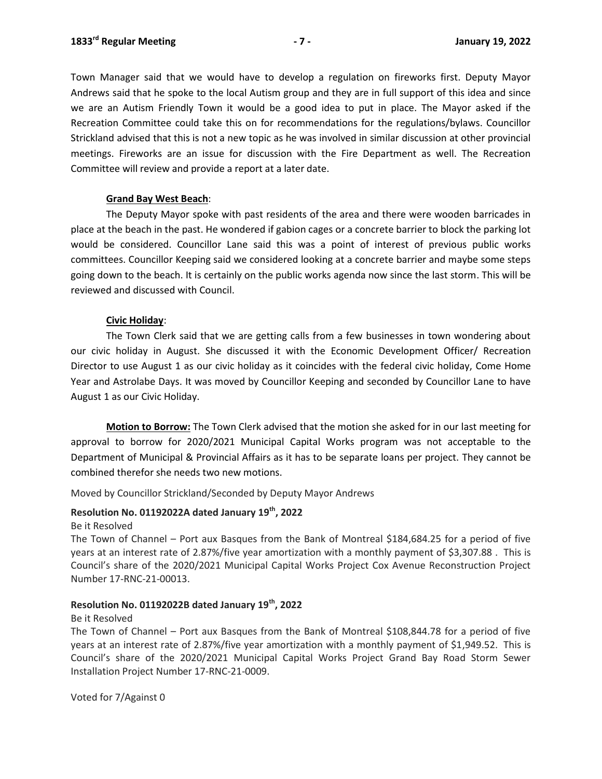Town Manager said that we would have to develop a regulation on fireworks first. Deputy Mayor Andrews said that he spoke to the local Autism group and they are in full support of this idea and since we are an Autism Friendly Town it would be a good idea to put in place. The Mayor asked if the Recreation Committee could take this on for recommendations for the regulations/bylaws. Councillor Strickland advised that this is not a new topic as he was involved in similar discussion at other provincial meetings. Fireworks are an issue for discussion with the Fire Department as well. The Recreation Committee will review and provide a report at a later date.

#### **Grand Bay West Beach**:

The Deputy Mayor spoke with past residents of the area and there were wooden barricades in place at the beach in the past. He wondered if gabion cages or a concrete barrier to block the parking lot would be considered. Councillor Lane said this was a point of interest of previous public works committees. Councillor Keeping said we considered looking at a concrete barrier and maybe some steps going down to the beach. It is certainly on the public works agenda now since the last storm. This will be reviewed and discussed with Council.

# **Civic Holiday**:

The Town Clerk said that we are getting calls from a few businesses in town wondering about our civic holiday in August. She discussed it with the Economic Development Officer/ Recreation Director to use August 1 as our civic holiday as it coincides with the federal civic holiday, Come Home Year and Astrolabe Days. It was moved by Councillor Keeping and seconded by Councillor Lane to have August 1 as our Civic Holiday.

**Motion to Borrow:** The Town Clerk advised that the motion she asked for in our last meeting for approval to borrow for 2020/2021 Municipal Capital Works program was not acceptable to the Department of Municipal & Provincial Affairs as it has to be separate loans per project. They cannot be combined therefor she needs two new motions.

Moved by Councillor Strickland/Seconded by Deputy Mayor Andrews

# **Resolution No. 01192022A dated January 19th, 2022**

Be it Resolved

The Town of Channel – Port aux Basques from the Bank of Montreal \$184,684.25 for a period of five years at an interest rate of 2.87%/five year amortization with a monthly payment of \$3,307.88 . This is Council's share of the 2020/2021 Municipal Capital Works Project Cox Avenue Reconstruction Project Number 17-RNC-21-00013.

# **Resolution No. 01192022B dated January 19th, 2022**

Be it Resolved

The Town of Channel – Port aux Basques from the Bank of Montreal \$108,844.78 for a period of five years at an interest rate of 2.87%/five year amortization with a monthly payment of \$1,949.52. This is Council's share of the 2020/2021 Municipal Capital Works Project Grand Bay Road Storm Sewer Installation Project Number 17-RNC-21-0009.

Voted for 7/Against 0